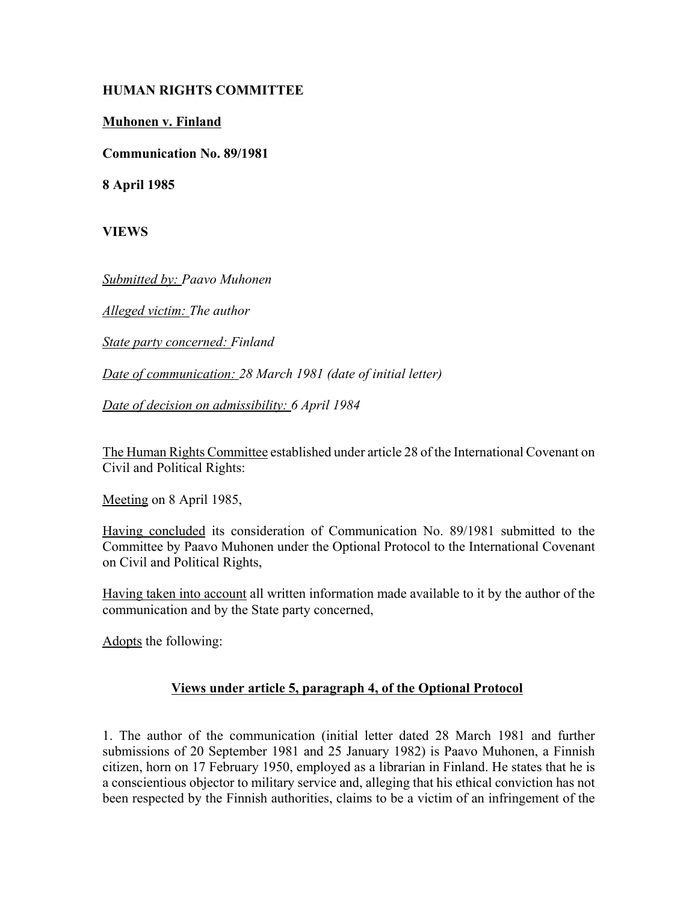## **HUMAN RIGHTS COMMITTEE**

## **Muhonen v. Finland**

**Communication No. 89/1981**

**8 April 1985**

**VIEWS**

*Submitted by: Paavo Muhonen* 

*Alleged victim: The author* 

*State party concerned: Finland* 

*Date of communication: 28 March 1981 (date of initial letter)* 

*Date of decision on admissibility: 6 April 1984* 

The Human Rights Committee established under article 28 of the International Covenant on Civil and Political Rights:

Meeting on 8 April 1985,

Having concluded its consideration of Communication No. 89/1981 submitted to the Committee by Paavo Muhonen under the Optional Protocol to the International Covenant on Civil and Political Rights,

Having taken into account all written information made available to it by the author of the communication and by the State party concerned,

Adopts the following:

# **Views under article 5, paragraph 4, of the Optional Protocol**

1. The author of the communication (initial letter dated 28 March 1981 and further submissions of 20 September 1981 and 25 January 1982) is Paavo Muhonen, a Finnish citizen, horn on 17 February 1950, employed as a librarian in Finland. He states that he is a conscientious objector to military service and, alleging that his ethical conviction has not been respected by the Finnish authorities, claims to be a victim of an infringement of the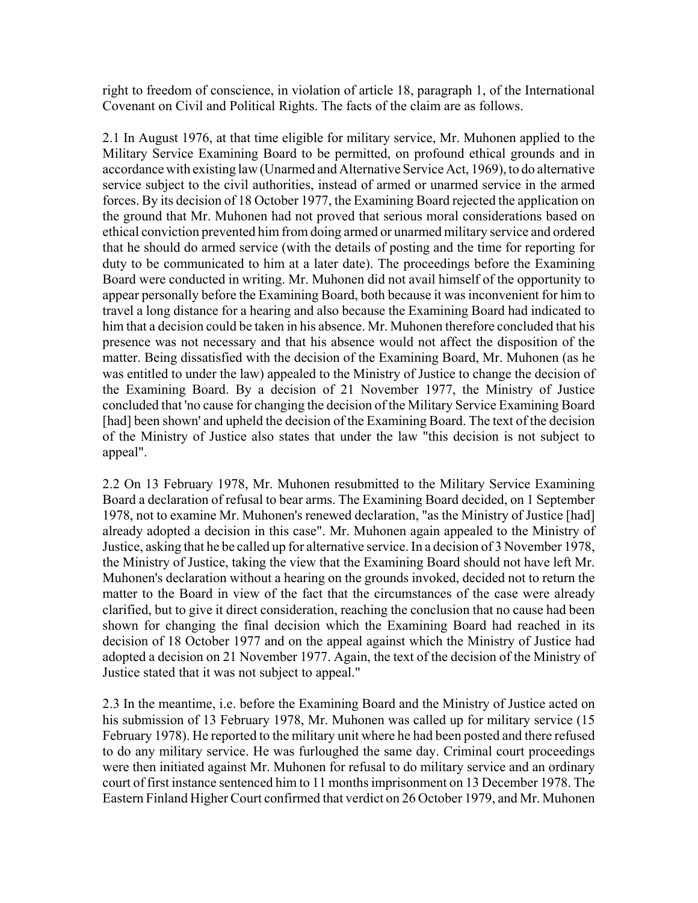right to freedom of conscience, in violation of article 18, paragraph 1, of the International Covenant on Civil and Political Rights. The facts of the claim are as follows.

2.1 In August 1976, at that time eligible for military service, Mr. Muhonen applied to the Military Service Examining Board to be permitted, on profound ethical grounds and in accordance with existing law (Unarmed and Alternative Service Act, 1969), to do alternative service subject to the civil authorities, instead of armed or unarmed service in the armed forces. By its decision of 18 October 1977, the Examining Board rejected the application on the ground that Mr. Muhonen had not proved that serious moral considerations based on ethical conviction prevented him from doing armed or unarmed military service and ordered that he should do armed service (with the details of posting and the time for reporting for duty to be communicated to him at a later date). The proceedings before the Examining Board were conducted in writing. Mr. Muhonen did not avail himself of the opportunity to appear personally before the Examining Board, both because it was inconvenient for him to travel a long distance for a hearing and also because the Examining Board had indicated to him that a decision could be taken in his absence. Mr. Muhonen therefore concluded that his presence was not necessary and that his absence would not affect the disposition of the matter. Being dissatisfied with the decision of the Examining Board, Mr. Muhonen (as he was entitled to under the law) appealed to the Ministry of Justice to change the decision of the Examining Board. By a decision of 21 November 1977, the Ministry of Justice concluded that 'no cause for changing the decision of the Military Service Examining Board [had] been shown' and upheld the decision of the Examining Board. The text of the decision of the Ministry of Justice also states that under the law "this decision is not subject to appeal".

2.2 On 13 February 1978, Mr. Muhonen resubmitted to the Military Service Examining Board a declaration of refusal to bear arms. The Examining Board decided, on 1 September 1978, not to examine Mr. Muhonen's renewed declaration, "as the Ministry of Justice [had] already adopted a decision in this case". Mr. Muhonen again appealed to the Ministry of Justice, asking that he be called up for alternative service. In a decision of 3 November 1978, the Ministry of Justice, taking the view that the Examining Board should not have left Mr. Muhonen's declaration without a hearing on the grounds invoked, decided not to return the matter to the Board in view of the fact that the circumstances of the case were already clarified, but to give it direct consideration, reaching the conclusion that no cause had been shown for changing the final decision which the Examining Board had reached in its decision of 18 October 1977 and on the appeal against which the Ministry of Justice had adopted a decision on 21 November 1977. Again, the text of the decision of the Ministry of Justice stated that it was not subject to appeal."

2.3 In the meantime, i.e. before the Examining Board and the Ministry of Justice acted on his submission of 13 February 1978, Mr. Muhonen was called up for military service (15 February 1978). He reported to the military unit where he had been posted and there refused to do any military service. He was furloughed the same day. Criminal court proceedings were then initiated against Mr. Muhonen for refusal to do military service and an ordinary court of first instance sentenced him to 11 months imprisonment on 13 December 1978. The Eastern Finland Higher Court confirmed that verdict on 26 October 1979, and Mr. Muhonen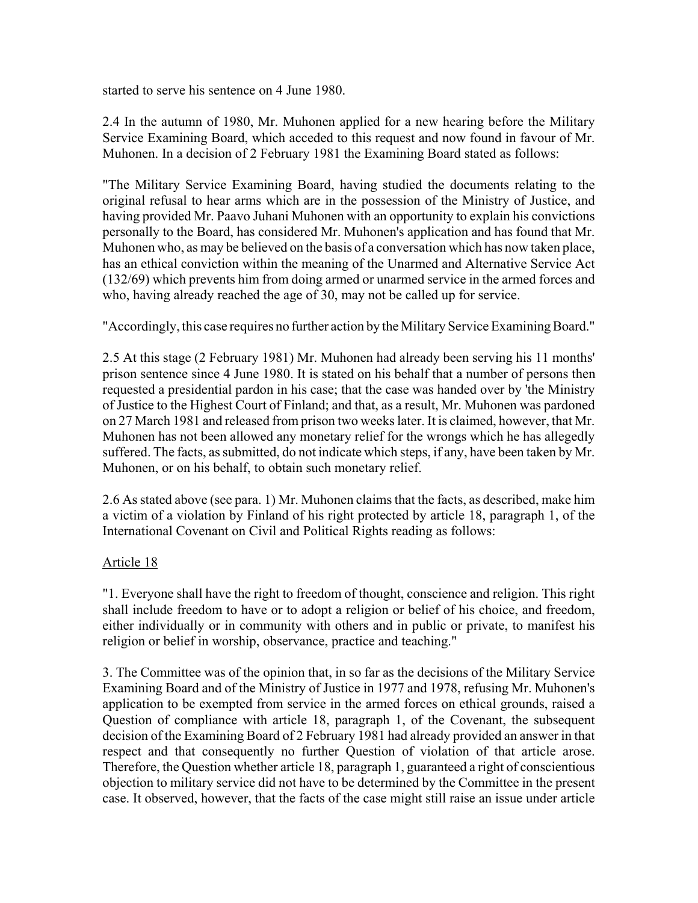started to serve his sentence on 4 June 1980.

2.4 In the autumn of 1980, Mr. Muhonen applied for a new hearing before the Military Service Examining Board, which acceded to this request and now found in favour of Mr. Muhonen. In a decision of 2 February 1981 the Examining Board stated as follows:

"The Military Service Examining Board, having studied the documents relating to the original refusal to hear arms which are in the possession of the Ministry of Justice, and having provided Mr. Paavo Juhani Muhonen with an opportunity to explain his convictions personally to the Board, has considered Mr. Muhonen's application and has found that Mr. Muhonen who, as may be believed on the basis of a conversation which has now taken place, has an ethical conviction within the meaning of the Unarmed and Alternative Service Act (132/69) which prevents him from doing armed or unarmed service in the armed forces and who, having already reached the age of 30, may not be called up for service.

"Accordingly, this case requires no further action by the Military Service Examining Board."

2.5 At this stage (2 February 1981) Mr. Muhonen had already been serving his 11 months' prison sentence since 4 June 1980. It is stated on his behalf that a number of persons then requested a presidential pardon in his case; that the case was handed over by 'the Ministry of Justice to the Highest Court of Finland; and that, as a result, Mr. Muhonen was pardoned on 27 March 1981 and released from prison two weeks later. It is claimed, however, that Mr. Muhonen has not been allowed any monetary relief for the wrongs which he has allegedly suffered. The facts, as submitted, do not indicate which steps, if any, have been taken by Mr. Muhonen, or on his behalf, to obtain such monetary relief.

2.6 As stated above (see para. 1) Mr. Muhonen claims that the facts, as described, make him a victim of a violation by Finland of his right protected by article 18, paragraph 1, of the International Covenant on Civil and Political Rights reading as follows:

# Article 18

"1. Everyone shall have the right to freedom of thought, conscience and religion. This right shall include freedom to have or to adopt a religion or belief of his choice, and freedom, either individually or in community with others and in public or private, to manifest his religion or belief in worship, observance, practice and teaching."

3. The Committee was of the opinion that, in so far as the decisions of the Military Service Examining Board and of the Ministry of Justice in 1977 and 1978, refusing Mr. Muhonen's application to be exempted from service in the armed forces on ethical grounds, raised a Question of compliance with article 18, paragraph 1, of the Covenant, the subsequent decision of the Examining Board of 2 February 1981 had already provided an answer in that respect and that consequently no further Question of violation of that article arose. Therefore, the Question whether article 18, paragraph 1, guaranteed a right of conscientious objection to military service did not have to be determined by the Committee in the present case. It observed, however, that the facts of the case might still raise an issue under article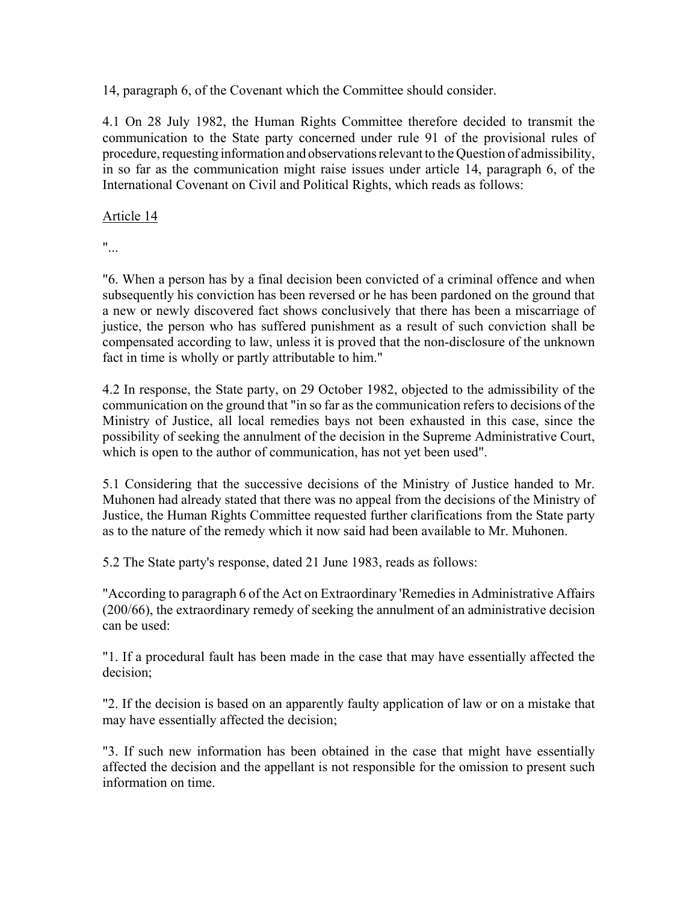14, paragraph 6, of the Covenant which the Committee should consider.

4.1 On 28 July 1982, the Human Rights Committee therefore decided to transmit the communication to the State party concerned under rule 91 of the provisional rules of procedure, requesting information and observations relevant to the Question of admissibility, in so far as the communication might raise issues under article 14, paragraph 6, of the International Covenant on Civil and Political Rights, which reads as follows:

### Article 14

"...

"6. When a person has by a final decision been convicted of a criminal offence and when subsequently his conviction has been reversed or he has been pardoned on the ground that a new or newly discovered fact shows conclusively that there has been a miscarriage of justice, the person who has suffered punishment as a result of such conviction shall be compensated according to law, unless it is proved that the non-disclosure of the unknown fact in time is wholly or partly attributable to him."

4.2 In response, the State party, on 29 October 1982, objected to the admissibility of the communication on the ground that "in so far as the communication refers to decisions of the Ministry of Justice, all local remedies bays not been exhausted in this case, since the possibility of seeking the annulment of the decision in the Supreme Administrative Court, which is open to the author of communication, has not yet been used".

5.1 Considering that the successive decisions of the Ministry of Justice handed to Mr. Muhonen had already stated that there was no appeal from the decisions of the Ministry of Justice, the Human Rights Committee requested further clarifications from the State party as to the nature of the remedy which it now said had been available to Mr. Muhonen.

5.2 The State party's response, dated 21 June 1983, reads as follows:

"According to paragraph 6 of the Act on Extraordinary 'Remedies in Administrative Affairs (200/66), the extraordinary remedy of seeking the annulment of an administrative decision can be used:

"1. If a procedural fault has been made in the case that may have essentially affected the decision;

"2. If the decision is based on an apparently faulty application of law or on a mistake that may have essentially affected the decision;

"3. If such new information has been obtained in the case that might have essentially affected the decision and the appellant is not responsible for the omission to present such information on time.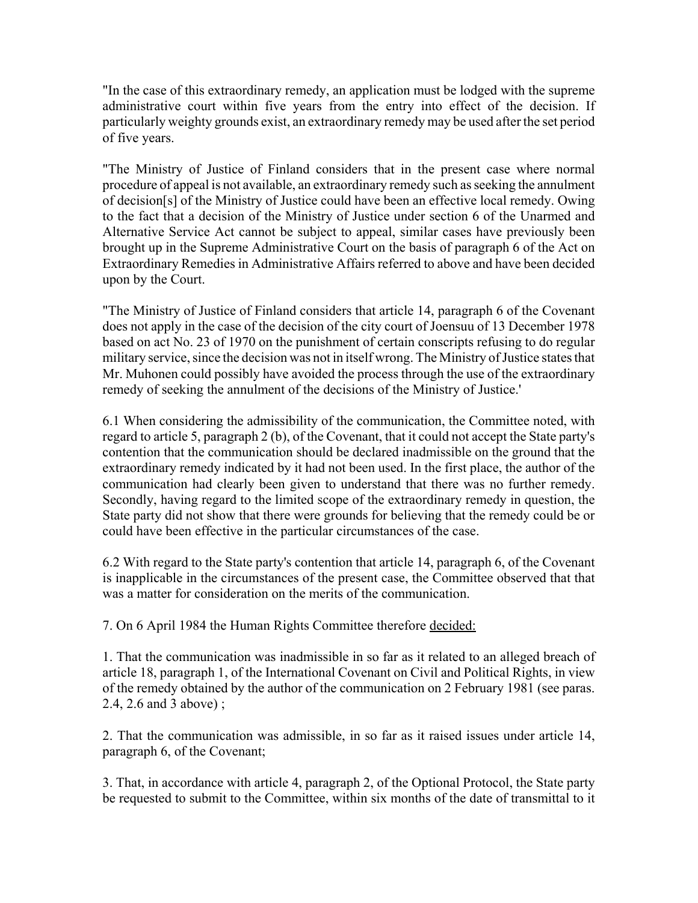"In the case of this extraordinary remedy, an application must be lodged with the supreme administrative court within five years from the entry into effect of the decision. If particularly weighty grounds exist, an extraordinary remedy may be used after the set period of five years.

"The Ministry of Justice of Finland considers that in the present case where normal procedure of appeal is not available, an extraordinary remedy such as seeking the annulment of decision[s] of the Ministry of Justice could have been an effective local remedy. Owing to the fact that a decision of the Ministry of Justice under section 6 of the Unarmed and Alternative Service Act cannot be subject to appeal, similar cases have previously been brought up in the Supreme Administrative Court on the basis of paragraph 6 of the Act on Extraordinary Remedies in Administrative Affairs referred to above and have been decided upon by the Court.

"The Ministry of Justice of Finland considers that article 14, paragraph 6 of the Covenant does not apply in the case of the decision of the city court of Joensuu of 13 December 1978 based on act No. 23 of 1970 on the punishment of certain conscripts refusing to do regular military service, since the decision was not in itself wrong. The Ministry of Justice states that Mr. Muhonen could possibly have avoided the process through the use of the extraordinary remedy of seeking the annulment of the decisions of the Ministry of Justice.'

6.1 When considering the admissibility of the communication, the Committee noted, with regard to article 5, paragraph 2 (b), of the Covenant, that it could not accept the State party's contention that the communication should be declared inadmissible on the ground that the extraordinary remedy indicated by it had not been used. In the first place, the author of the communication had clearly been given to understand that there was no further remedy. Secondly, having regard to the limited scope of the extraordinary remedy in question, the State party did not show that there were grounds for believing that the remedy could be or could have been effective in the particular circumstances of the case.

6.2 With regard to the State party's contention that article 14, paragraph 6, of the Covenant is inapplicable in the circumstances of the present case, the Committee observed that that was a matter for consideration on the merits of the communication.

7. On 6 April 1984 the Human Rights Committee therefore decided:

1. That the communication was inadmissible in so far as it related to an alleged breach of article 18, paragraph 1, of the International Covenant on Civil and Political Rights, in view of the remedy obtained by the author of the communication on 2 February 1981 (see paras. 2.4, 2.6 and 3 above) ;

2. That the communication was admissible, in so far as it raised issues under article 14, paragraph 6, of the Covenant;

3. That, in accordance with article 4, paragraph 2, of the Optional Protocol, the State party be requested to submit to the Committee, within six months of the date of transmittal to it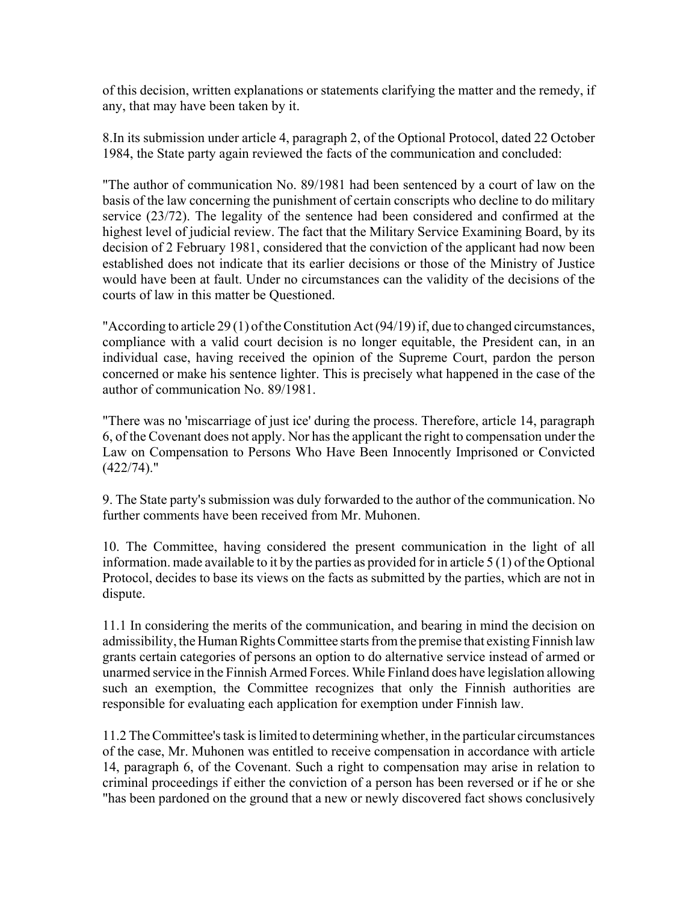of this decision, written explanations or statements clarifying the matter and the remedy, if any, that may have been taken by it.

8.In its submission under article 4, paragraph 2, of the Optional Protocol, dated 22 October 1984, the State party again reviewed the facts of the communication and concluded:

"The author of communication No. 89/1981 had been sentenced by a court of law on the basis of the law concerning the punishment of certain conscripts who decline to do military service (23/72). The legality of the sentence had been considered and confirmed at the highest level of judicial review. The fact that the Military Service Examining Board, by its decision of 2 February 1981, considered that the conviction of the applicant had now been established does not indicate that its earlier decisions or those of the Ministry of Justice would have been at fault. Under no circumstances can the validity of the decisions of the courts of law in this matter be Questioned.

"According to article 29 (1) of the Constitution Act (94/19) if, due to changed circumstances, compliance with a valid court decision is no longer equitable, the President can, in an individual case, having received the opinion of the Supreme Court, pardon the person concerned or make his sentence lighter. This is precisely what happened in the case of the author of communication No. 89/1981.

"There was no 'miscarriage of just ice' during the process. Therefore, article 14, paragraph 6, of the Covenant does not apply. Nor has the applicant the right to compensation under the Law on Compensation to Persons Who Have Been Innocently Imprisoned or Convicted (422/74)."

9. The State party's submission was duly forwarded to the author of the communication. No further comments have been received from Mr. Muhonen.

10. The Committee, having considered the present communication in the light of all information. made available to it by the parties as provided for in article 5 (1) of the Optional Protocol, decides to base its views on the facts as submitted by the parties, which are not in dispute.

11.1 In considering the merits of the communication, and bearing in mind the decision on admissibility, the Human Rights Committee starts from the premise that existing Finnish law grants certain categories of persons an option to do alternative service instead of armed or unarmed service in the Finnish Armed Forces. While Finland does have legislation allowing such an exemption, the Committee recognizes that only the Finnish authorities are responsible for evaluating each application for exemption under Finnish law.

11.2 The Committee's task is limited to determining whether, in the particular circumstances of the case, Mr. Muhonen was entitled to receive compensation in accordance with article 14, paragraph 6, of the Covenant. Such a right to compensation may arise in relation to criminal proceedings if either the conviction of a person has been reversed or if he or she "has been pardoned on the ground that a new or newly discovered fact shows conclusively